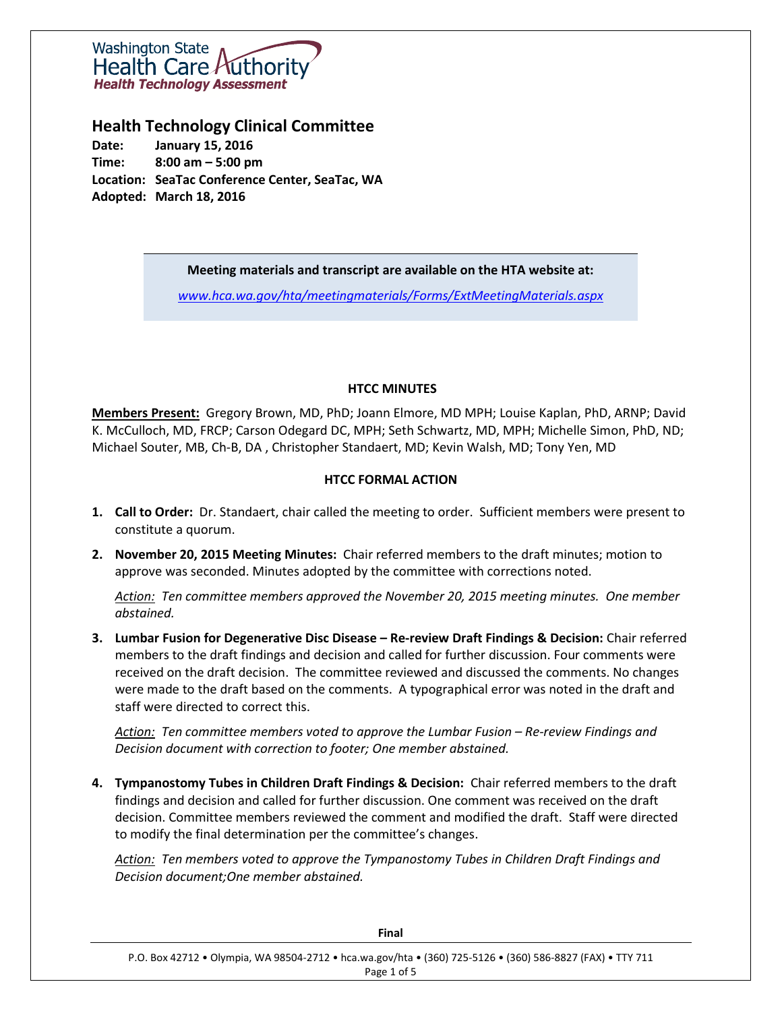

# **Health Technology Clinical Committee**

**Date: January 15, 2016 Time: 8:00 am – 5:00 pm Location: SeaTac Conference Center, SeaTac, WA Adopted: March 18, 2016**

#### **Meeting materials and transcript are available on the HTA website at:**

*[www.hca.wa.gov/hta/meetingmaterials/Forms/ExtMeetingMaterials.aspx](http://www.hca.wa.gov/hta/meetingmaterials/Forms/ExtMeetingMaterials.aspx)*

#### **HTCC MINUTES**

**Members Present:** Gregory Brown, MD, PhD; Joann Elmore, MD MPH; Louise Kaplan, PhD, ARNP; David K. McCulloch, MD, FRCP; Carson Odegard DC, MPH; Seth Schwartz, MD, MPH; Michelle Simon, PhD, ND; Michael Souter, MB, Ch-B, DA , Christopher Standaert, MD; Kevin Walsh, MD; Tony Yen, MD

# **HTCC FORMAL ACTION**

- **1. Call to Order:** Dr. Standaert, chair called the meeting to order. Sufficient members were present to constitute a quorum.
- **2. November 20, 2015 Meeting Minutes:** Chair referred members to the draft minutes; motion to approve was seconded. Minutes adopted by the committee with corrections noted.

*Action: Ten committee members approved the November 20, 2015 meeting minutes. One member abstained.* 

**3. Lumbar Fusion for Degenerative Disc Disease – Re-review Draft Findings & Decision:** Chair referred members to the draft findings and decision and called for further discussion. Four comments were received on the draft decision. The committee reviewed and discussed the comments. No changes were made to the draft based on the comments. A typographical error was noted in the draft and staff were directed to correct this.

*Action: Ten committee members voted to approve the Lumbar Fusion – Re-review Findings and Decision document with correction to footer; One member abstained.*

**4. Tympanostomy Tubes in Children Draft Findings & Decision:** Chair referred members to the draft findings and decision and called for further discussion. One comment was received on the draft decision. Committee members reviewed the comment and modified the draft. Staff were directed to modify the final determination per the committee's changes.

*Action: Ten members voted to approve the Tympanostomy Tubes in Children Draft Findings and Decision document;One member abstained.*

| Final                                                                                                                     |
|---------------------------------------------------------------------------------------------------------------------------|
| P.O. Box 42712 . Olympia, WA 98504-2712 . hca.wa.gov/hta . (360) 725-5126 . (360) 586-8827 (FAX) . TTY 711<br>Page 1 of 5 |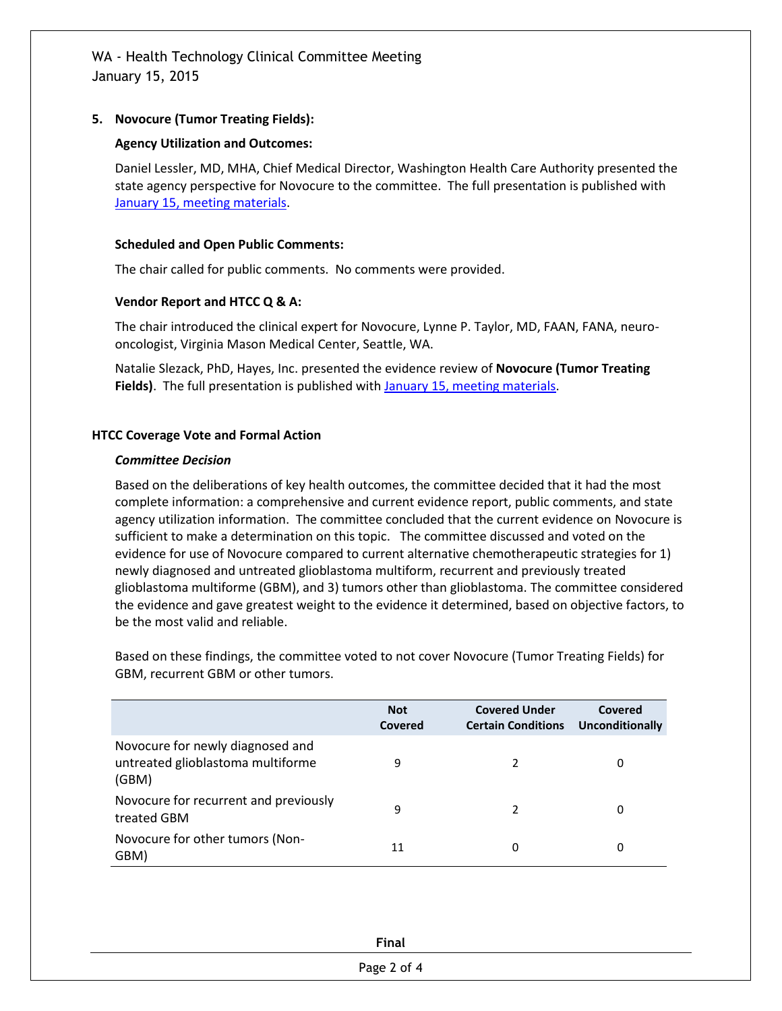## **5. Novocure (Tumor Treating Fields):**

## **Agency Utilization and Outcomes:**

Daniel Lessler, MD, MHA, Chief Medical Director, Washington Health Care Authority presented the state agency perspective for Novocure to the committee. The full presentation is published with January 15, [meeting materials.](http://www.hca.wa.gov/hta/meetingmaterials/Forms/ExtMeetingMaterials.aspx)

## **Scheduled and Open Public Comments:**

The chair called for public comments. No comments were provided.

#### **Vendor Report and HTCC Q & A:**

The chair introduced the clinical expert for Novocure, Lynne P. Taylor, MD, FAAN, FANA, neurooncologist, Virginia Mason Medical Center, Seattle, WA.

Natalie Slezack, PhD, Hayes, Inc. presented the evidence review of **Novocure (Tumor Treating Fields)**. The full presentation is published with **January 15, meeting materials**.

# **HTCC Coverage Vote and Formal Action**

#### *Committee Decision*

Based on the deliberations of key health outcomes, the committee decided that it had the most complete information: a comprehensive and current evidence report, public comments, and state agency utilization information. The committee concluded that the current evidence on Novocure is sufficient to make a determination on this topic. The committee discussed and voted on the evidence for use of Novocure compared to current alternative chemotherapeutic strategies for 1) newly diagnosed and untreated glioblastoma multiform, recurrent and previously treated glioblastoma multiforme (GBM), and 3) tumors other than glioblastoma. The committee considered the evidence and gave greatest weight to the evidence it determined, based on objective factors, to be the most valid and reliable.

Based on these findings, the committee voted to not cover Novocure (Tumor Treating Fields) for GBM, recurrent GBM or other tumors.

|                                                                                | <b>Not</b><br>Covered | <b>Covered Under</b><br><b>Certain Conditions</b> | Covered<br>Unconditionally |
|--------------------------------------------------------------------------------|-----------------------|---------------------------------------------------|----------------------------|
| Novocure for newly diagnosed and<br>untreated glioblastoma multiforme<br>(GBM) | 9                     |                                                   | 0                          |
| Novocure for recurrent and previously<br>treated GBM                           | 9                     | 2                                                 | 0                          |
| Novocure for other tumors (Non-<br>GBM)                                        | 11                    | 0                                                 | 0                          |

| Final       |  |
|-------------|--|
| Page 2 of 4 |  |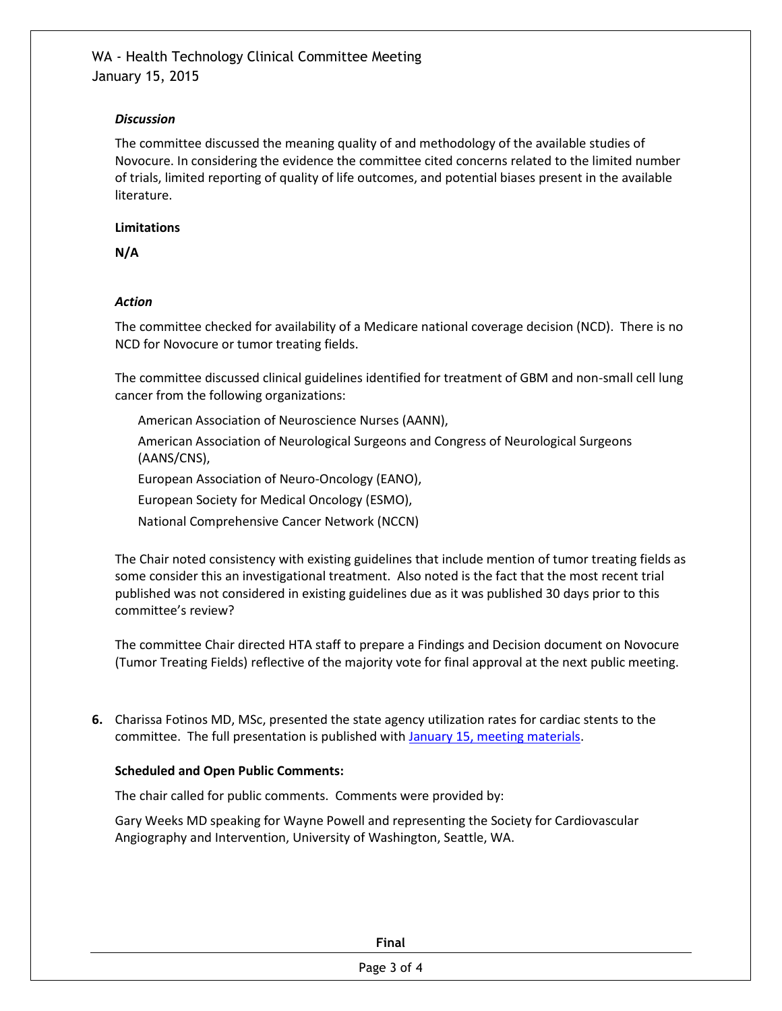## *Discussion*

The committee discussed the meaning quality of and methodology of the available studies of Novocure. In considering the evidence the committee cited concerns related to the limited number of trials, limited reporting of quality of life outcomes, and potential biases present in the available literature.

## **Limitations**

**N/A**

# *Action*

The committee checked for availability of a Medicare national coverage decision (NCD). There is no NCD for Novocure or tumor treating fields.

The committee discussed clinical guidelines identified for treatment of GBM and non-small cell lung cancer from the following organizations:

American Association of Neuroscience Nurses (AANN),

American Association of Neurological Surgeons and Congress of Neurological Surgeons (AANS/CNS),

European Association of Neuro-Oncology (EANO),

European Society for Medical Oncology (ESMO),

National Comprehensive Cancer Network (NCCN)

The Chair noted consistency with existing guidelines that include mention of tumor treating fields as some consider this an investigational treatment. Also noted is the fact that the most recent trial published was not considered in existing guidelines due as it was published 30 days prior to this committee's review?

The committee Chair directed HTA staff to prepare a Findings and Decision document on Novocure (Tumor Treating Fields) reflective of the majority vote for final approval at the next public meeting.

**6.** Charissa Fotinos MD, MSc, presented the state agency utilization rates for cardiac stents to the committee. The full presentation is published with [January 15, meeting materials.](http://www.hca.wa.gov/hta/meetingmaterials/Forms/ExtMeetingMaterials.aspx)

# **Scheduled and Open Public Comments:**

The chair called for public comments. Comments were provided by:

Gary Weeks MD speaking for Wayne Powell and representing the Society for Cardiovascular Angiography and Intervention, University of Washington, Seattle, WA.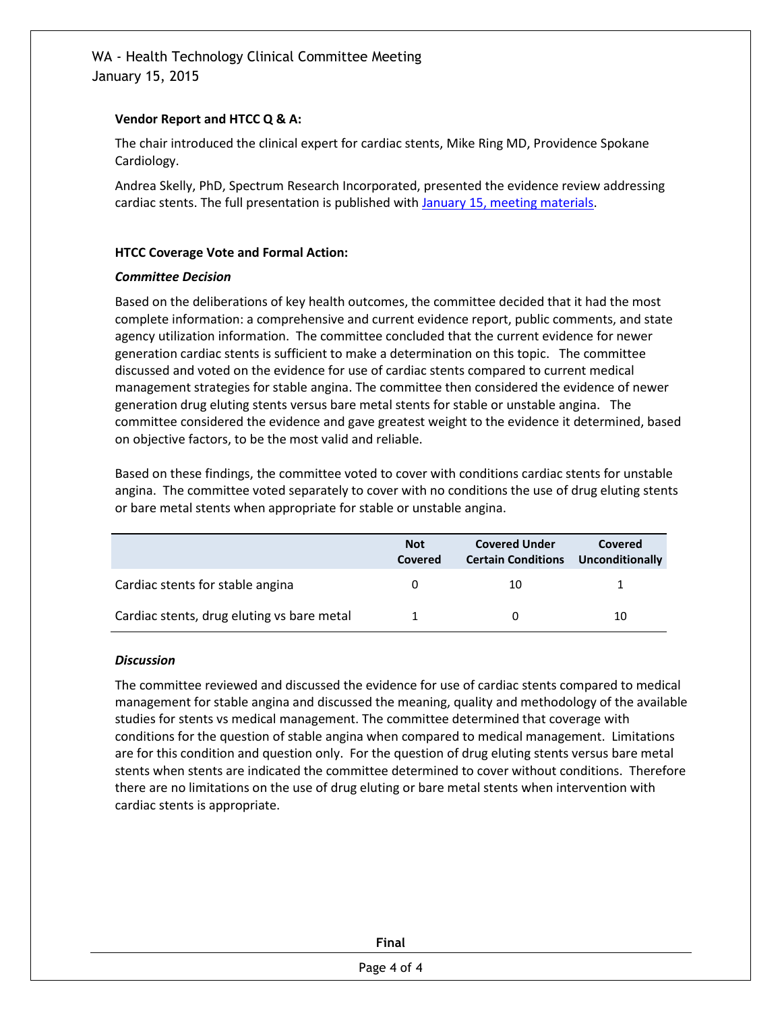## **Vendor Report and HTCC Q & A:**

The chair introduced the clinical expert for cardiac stents, Mike Ring MD, Providence Spokane Cardiology.

Andrea Skelly, PhD, Spectrum Research Incorporated, presented the evidence review addressing cardiac stents. The full presentation is published wit[h January 15, meeting materials.](http://www.hca.wa.gov/hta/meetingmaterials/Forms/ExtMeetingMaterials.aspx)

## **HTCC Coverage Vote and Formal Action:**

# *Committee Decision*

Based on the deliberations of key health outcomes, the committee decided that it had the most complete information: a comprehensive and current evidence report, public comments, and state agency utilization information. The committee concluded that the current evidence for newer generation cardiac stents is sufficient to make a determination on this topic. The committee discussed and voted on the evidence for use of cardiac stents compared to current medical management strategies for stable angina. The committee then considered the evidence of newer generation drug eluting stents versus bare metal stents for stable or unstable angina. The committee considered the evidence and gave greatest weight to the evidence it determined, based on objective factors, to be the most valid and reliable.

Based on these findings, the committee voted to cover with conditions cardiac stents for unstable angina. The committee voted separately to cover with no conditions the use of drug eluting stents or bare metal stents when appropriate for stable or unstable angina.

|                                            | <b>Not</b><br>Covered | <b>Covered Under</b><br><b>Certain Conditions</b> | Covered<br><b>Unconditionally</b> |
|--------------------------------------------|-----------------------|---------------------------------------------------|-----------------------------------|
| Cardiac stents for stable angina           |                       | 10                                                |                                   |
| Cardiac stents, drug eluting vs bare metal |                       |                                                   | 10                                |

#### *Discussion*

The committee reviewed and discussed the evidence for use of cardiac stents compared to medical management for stable angina and discussed the meaning, quality and methodology of the available studies for stents vs medical management. The committee determined that coverage with conditions for the question of stable angina when compared to medical management. Limitations are for this condition and question only. For the question of drug eluting stents versus bare metal stents when stents are indicated the committee determined to cover without conditions. Therefore there are no limitations on the use of drug eluting or bare metal stents when intervention with cardiac stents is appropriate.

| dι<br>" |  |
|---------|--|
|         |  |